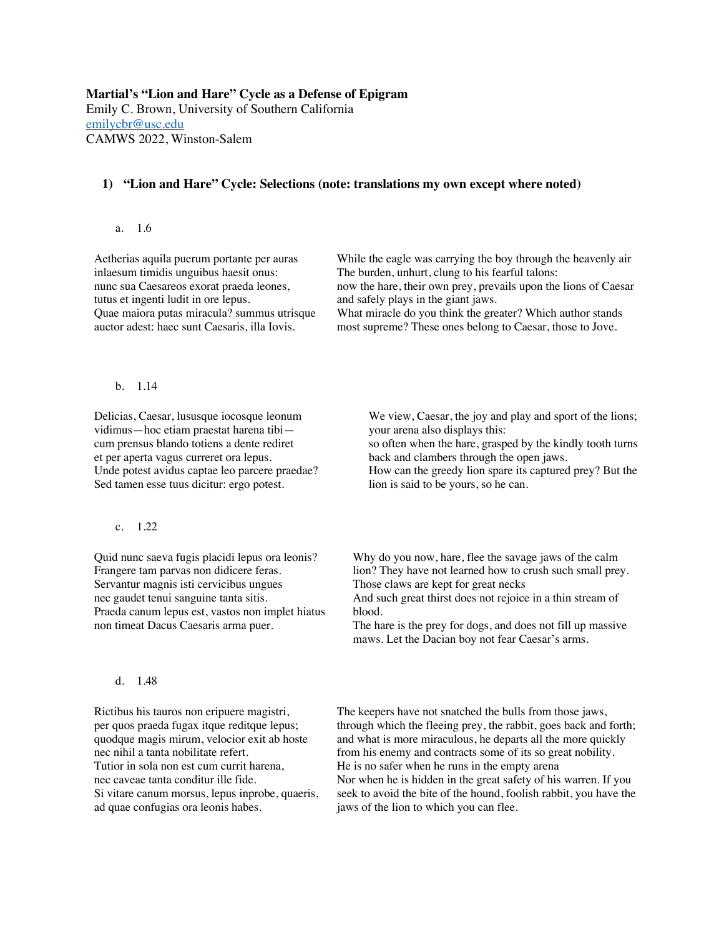**Martial's "Lion and Hare" Cycle as a Defense of Epigram** Emily C. Brown, University of Southern California emilycbr@usc.edu CAMWS 2022, Winston-Salem

### **1) "Lion and Hare" Cycle: Selections (note: translations my own except where noted)**

### a. 1.6

Aetherias aquila puerum portante per auras inlaesum timidis unguibus haesit onus: nunc sua Caesareos exorat praeda leones, tutus et ingenti ludit in ore lepus. Quae maiora putas miracula? summus utrisque auctor adest: haec sunt Caesaris, illa Iovis.

While the eagle was carrying the boy through the heavenly air The burden, unhurt, clung to his fearful talons: now the hare, their own prey, prevails upon the lions of Caesar and safely plays in the giant jaws. What miracle do you think the greater? Which author stands most supreme? These ones belong to Caesar, those to Jove.

### b. 1.14

Delicias, Caesar, lususque iocosque leonum vidimus—hoc etiam praestat harena tibi cum prensus blando totiens a dente rediret et per aperta vagus curreret ora lepus. Unde potest avidus captae leo parcere praedae? Sed tamen esse tuus dicitur: ergo potest.

#### c. 1.22

Quid nunc saeva fugis placidi lepus ora leonis? Frangere tam parvas non didicere feras. Servantur magnis isti cervicibus ungues nec gaudet tenui sanguine tanta sitis. Praeda canum lepus est, vastos non implet hiatus non timeat Dacus Caesaris arma puer.

#### d. 1.48

Rictibus his tauros non eripuere magistri, per quos praeda fugax itque reditque lepus; quodque magis mirum, velocior exit ab hoste nec nihil a tanta nobilitate refert. Tutior in sola non est cum currit harena, nec caveae tanta conditur ille fide. Si vitare canum morsus, lepus inprobe, quaeris, ad quae confugias ora leonis habes.

We view, Caesar, the joy and play and sport of the lions; your arena also displays this:

so often when the hare, grasped by the kindly tooth turns back and clambers through the open jaws.

How can the greedy lion spare its captured prey? But the lion is said to be yours, so he can.

Why do you now, hare, flee the savage jaws of the calm lion? They have not learned how to crush such small prey. Those claws are kept for great necks And such great thirst does not rejoice in a thin stream of

blood. The hare is the prey for dogs, and does not fill up massive maws. Let the Dacian boy not fear Caesar's arms.

The keepers have not snatched the bulls from those jaws, through which the fleeing prey, the rabbit, goes back and forth; and what is more miraculous, he departs all the more quickly from his enemy and contracts some of its so great nobility. He is no safer when he runs in the empty arena Nor when he is hidden in the great safety of his warren. If you seek to avoid the bite of the hound, foolish rabbit, you have the jaws of the lion to which you can flee.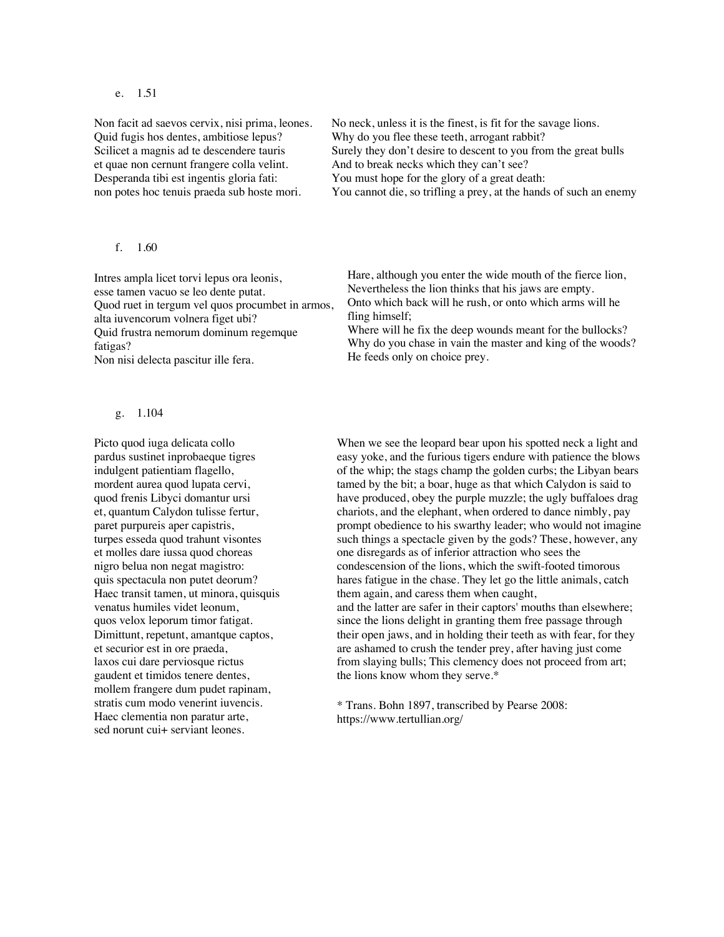### e. 1.51

Non facit ad saevos cervix, nisi prima, leones. Quid fugis hos dentes, ambitiose lepus? Scilicet a magnis ad te descendere tauris et quae non cernunt frangere colla velint. Desperanda tibi est ingentis gloria fati: non potes hoc tenuis praeda sub hoste mori.

## f. 1.60

Intres ampla licet torvi lepus ora leonis, esse tamen vacuo se leo dente putat. Quod ruet in tergum vel quos procumbet in armos, alta iuvencorum volnera figet ubi? Quid frustra nemorum dominum regemque fatigas?

Non nisi delecta pascitur ille fera.

No neck, unless it is the finest, is fit for the savage lions. Why do you flee these teeth, arrogant rabbit? Surely they don't desire to descent to you from the great bulls And to break necks which they can't see? You must hope for the glory of a great death: You cannot die, so trifling a prey, at the hands of such an enemy

Hare, although you enter the wide mouth of the fierce lion, Nevertheless the lion thinks that his jaws are empty. Onto which back will he rush, or onto which arms will he fling himself;

Where will he fix the deep wounds meant for the bullocks? Why do you chase in vain the master and king of the woods? He feeds only on choice prey.

## g. 1.104

Picto quod iuga delicata collo pardus sustinet inprobaeque tigres indulgent patientiam flagello, mordent aurea quod lupata cervi, quod frenis Libyci domantur ursi et, quantum Calydon tulisse fertur, paret purpureis aper capistris, turpes esseda quod trahunt visontes et molles dare iussa quod choreas nigro belua non negat magistro: quis spectacula non putet deorum? Haec transit tamen, ut minora, quisquis venatus humiles videt leonum, quos velox leporum timor fatigat. Dimittunt, repetunt, amantque captos, et securior est in ore praeda, laxos cui dare perviosque rictus gaudent et timidos tenere dentes, mollem frangere dum pudet rapinam, stratis cum modo venerint iuvencis. Haec clementia non paratur arte, sed norunt cui+ serviant leones.

When we see the leopard bear upon his spotted neck a light and easy yoke, and the furious tigers endure with patience the blows of the whip; the stags champ the golden curbs; the Libyan bears tamed by the bit; a boar, huge as that which Calydon is said to have produced, obey the purple muzzle; the ugly buffaloes drag chariots, and the elephant, when ordered to dance nimbly, pay prompt obedience to his swarthy leader; who would not imagine such things a spectacle given by the gods? These, however, any one disregards as of inferior attraction who sees the condescension of the lions, which the swift-footed timorous hares fatigue in the chase. They let go the little animals, catch them again, and caress them when caught, and the latter are safer in their captors' mouths than elsewhere; since the lions delight in granting them free passage through their open jaws, and in holding their teeth as with fear, for they are ashamed to crush the tender prey, after having just come from slaying bulls; This clemency does not proceed from art; the lions know whom they serve.\*

\* Trans. Bohn 1897, transcribed by Pearse 2008: https://www.tertullian.org/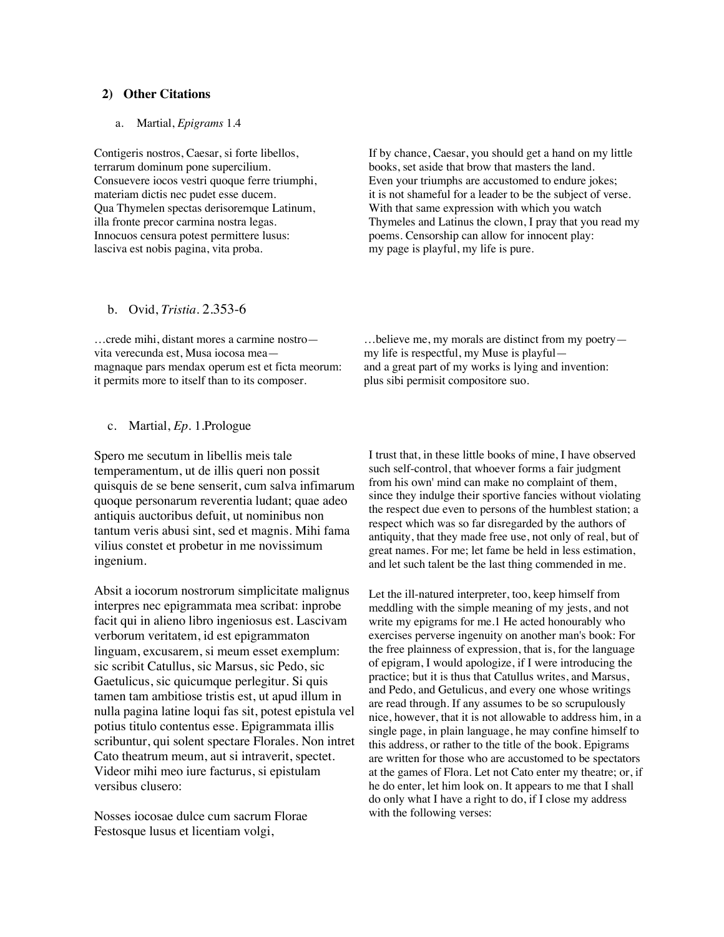# **2) Other Citations**

# a. Martial, *Epigrams* 1.4

Contigeris nostros, Caesar, si forte libellos, terrarum dominum pone supercilium. Consuevere iocos vestri quoque ferre triumphi, materiam dictis nec pudet esse ducem. Qua Thymelen spectas derisoremque Latinum, illa fronte precor carmina nostra legas. Innocuos censura potest permittere lusus: lasciva est nobis pagina, vita proba.

If by chance, Caesar, you should get a hand on my little books, set aside that brow that masters the land. Even your triumphs are accustomed to endure jokes; it is not shameful for a leader to be the subject of verse. With that same expression with which you watch Thymeles and Latinus the clown, I pray that you read my poems. Censorship can allow for innocent play: my page is playful, my life is pure.

## b. Ovid, *Tristia.* 2.353-6

…crede mihi, distant mores a carmine nostro vita verecunda est, Musa iocosa mea magnaque pars mendax operum est et ficta meorum: it permits more to itself than to its composer.

…believe me, my morals are distinct from my poetry my life is respectful, my Muse is playful and a great part of my works is lying and invention: plus sibi permisit compositore suo.

# c. Martial, *Ep.* 1.Prologue

Spero me secutum in libellis meis tale temperamentum, ut de illis queri non possit quisquis de se bene senserit, cum salva infimarum quoque personarum reverentia ludant; quae adeo antiquis auctoribus defuit, ut nominibus non tantum veris abusi sint, sed et magnis. Mihi fama vilius constet et probetur in me novissimum ingenium.

Absit a iocorum nostrorum simplicitate malignus interpres nec epigrammata mea scribat: inprobe facit qui in alieno libro ingeniosus est. Lascivam verborum veritatem, id est epigrammaton linguam, excusarem, si meum esset exemplum: sic scribit Catullus, sic Marsus, sic Pedo, sic Gaetulicus, sic quicumque perlegitur. Si quis tamen tam ambitiose tristis est, ut apud illum in nulla pagina latine loqui fas sit, potest epistula vel potius titulo contentus esse. Epigrammata illis scribuntur, qui solent spectare Florales. Non intret Cato theatrum meum, aut si intraverit, spectet. Videor mihi meo iure facturus, si epistulam versibus clusero:

Nosses iocosae dulce cum sacrum Florae Festosque lusus et licentiam volgi,

I trust that, in these little books of mine, I have observed such self-control, that whoever forms a fair judgment from his own' mind can make no complaint of them, since they indulge their sportive fancies without violating the respect due even to persons of the humblest station; a respect which was so far disregarded by the authors of antiquity, that they made free use, not only of real, but of great names. For me; let fame be held in less estimation, and let such talent be the last thing commended in me.

Let the ill-natured interpreter, too, keep himself from meddling with the simple meaning of my jests, and not write my epigrams for me.1 He acted honourably who exercises perverse ingenuity on another man's book: For the free plainness of expression, that is, for the language of epigram, I would apologize, if I were introducing the practice; but it is thus that Catullus writes, and Marsus, and Pedo, and Getulicus, and every one whose writings are read through. If any assumes to be so scrupulously nice, however, that it is not allowable to address him, in a single page, in plain language, he may confine himself to this address, or rather to the title of the book. Epigrams are written for those who are accustomed to be spectators at the games of Flora. Let not Cato enter my theatre; or, if he do enter, let him look on. It appears to me that I shall do only what I have a right to do, if I close my address with the following verses: